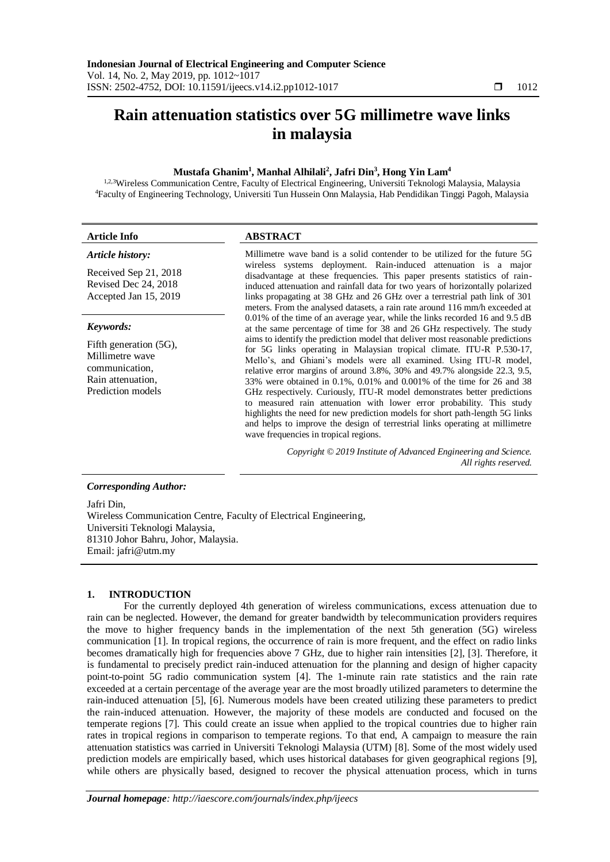# **Rain attenuation statistics over 5G millimetre wave links in malaysia**

## **Mustafa Ghanim<sup>1</sup> , Manhal Alhilali<sup>2</sup> , Jafri Din<sup>3</sup> , Hong Yin Lam<sup>4</sup>**

1,2,3Wireless Communication Centre, Faculty of Electrical Engineering, Universiti Teknologi Malaysia, Malaysia <sup>4</sup>Faculty of Engineering Technology, Universiti Tun Hussein Onn Malaysia, Hab Pendidikan Tinggi Pagoh, Malaysia

#### **Article Info ABSTRACT** *Article history:* Received Sep 21, 2018 Revised Dec 24, 2018 Accepted Jan 15, 2019 Millimetre wave band is a solid contender to be utilized for the future 5G wireless systems deployment. Rain-induced attenuation is a major disadvantage at these frequencies. This paper presents statistics of raininduced attenuation and rainfall data for two years of horizontally polarized links propagating at 38 GHz and 26 GHz over a terrestrial path link of 301 meters. From the analysed datasets, a rain rate around 116 mm/h exceeded at 0.01% of the time of an average year, while the links recorded 16 and 9.5 dB at the same percentage of time for 38 and 26 GHz respectively. The study aims to identify the prediction model that deliver most reasonable predictions for 5G links operating in Malaysian tropical climate. ITU-R P.530-17, Mello's, and Ghiani's models were all examined. Using ITU-R model, relative error margins of around 3.8%, 30% and 49.7% alongside 22.3, 9.5, 33% were obtained in 0.1%, 0.01% and 0.001% of the time for 26 and 38 GHz respectively. Curiously, ITU-R model demonstrates better predictions to measured rain attenuation with lower error probability. This study highlights the need for new prediction models for short path-length 5G links and helps to improve the design of terrestrial links operating at millimetre wave frequencies in tropical regions. *Keywords:* Fifth generation (5G), Millimetre wave communication, Rain attenuation, Prediction models *Copyright © 2019 Institute of Advanced Engineering and Science. All rights reserved. Corresponding Author:* Jafri Din,

Wireless Communication Centre, Faculty of Electrical Engineering, Universiti Teknologi Malaysia, 81310 Johor Bahru, Johor, Malaysia. Email: jafri@utm.my

## **1. INTRODUCTION**

For the currently deployed 4th generation of wireless communications, excess attenuation due to rain can be neglected. However, the demand for greater bandwidth by telecommunication providers requires the move to higher frequency bands in the implementation of the next 5th generation (5G) wireless communication [1]. In tropical regions, the occurrence of rain is more frequent, and the effect on radio links becomes dramatically high for frequencies above 7 GHz, due to higher rain intensities [2], [3]. Therefore, it is fundamental to precisely predict rain-induced attenuation for the planning and design of higher capacity point-to-point 5G radio communication system [4]. The 1-minute rain rate statistics and the rain rate exceeded at a certain percentage of the average year are the most broadly utilized parameters to determine the rain-induced attenuation [5], [6]. Numerous models have been created utilizing these parameters to predict the rain-induced attenuation. However, the majority of these models are conducted and focused on the temperate regions [7]. This could create an issue when applied to the tropical countries due to higher rain rates in tropical regions in comparison to temperate regions. To that end, A campaign to measure the rain attenuation statistics was carried in Universiti Teknologi Malaysia (UTM) [8]. Some of the most widely used prediction models are empirically based, which uses historical databases for given geographical regions [9], while others are physically based, designed to recover the physical attenuation process, which in turns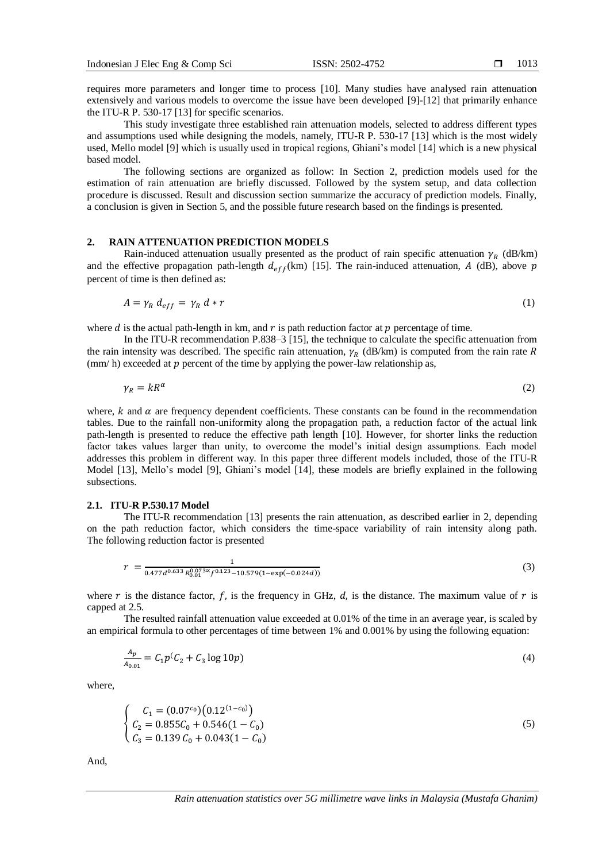requires more parameters and longer time to process [10]. Many studies have analysed rain attenuation extensively and various models to overcome the issue have been developed [9]-[12] that primarily enhance the ITU-R P. 530-17 [13] for specific scenarios.

This study investigate three established rain attenuation models, selected to address different types and assumptions used while designing the models, namely, ITU-R P. 530-17 [13] which is the most widely used, Mello model [9] which is usually used in tropical regions, Ghiani's model [14] which is a new physical based model.

The following sections are organized as follow: In Section 2, prediction models used for the estimation of rain attenuation are briefly discussed. Followed by the system setup, and data collection procedure is discussed. Result and discussion section summarize the accuracy of prediction models. Finally, a conclusion is given in Section 5, and the possible future research based on the findings is presented.

### **2. RAIN ATTENUATION PREDICTION MODELS**

Rain-induced attenuation usually presented as the product of rain specific attenuation  $\gamma_R$  (dB/km) and the effective propagation path-length  $d_{eff}$ (km) [15]. The rain-induced attenuation, A (dB), above p percent of time is then defined as:

$$
A = \gamma_R d_{eff} = \gamma_R d * r \tag{1}
$$

where *d* is the actual path-length in km, and  $r$  is path reduction factor at  $p$  percentage of time.

In the ITU-R recommendation P.838–3 [15], the technique to calculate the specific attenuation from the rain intensity was described. The specific rain attenuation,  $\gamma_R$  (dB/km) is computed from the rain rate R (mm/h) exceeded at  $p$  percent of the time by applying the power-law relationship as,

$$
\gamma_R = kR^{\alpha} \tag{2}
$$

where,  $k$  and  $\alpha$  are frequency dependent coefficients. These constants can be found in the recommendation tables. Due to the rainfall non-uniformity along the propagation path, a reduction factor of the actual link path-length is presented to reduce the effective path length [10]. However, for shorter links the reduction factor takes values larger than unity, to overcome the model's initial design assumptions. Each model addresses this problem in different way. In this paper three different models included, those of the ITU-R Model [13], Mello's model [9], Ghiani's model [14], these models are briefly explained in the following subsections.

#### **2.1. ITU-R P.530.17 Model**

The ITU-R recommendation [13] presents the rain attenuation, as described earlier in 2, depending on the path reduction factor, which considers the time-space variability of rain intensity along path. The following reduction factor is presented

$$
r = \frac{1}{0.477d^{0.633} R_{0.01}^{0.073 \times} f^{0.123} - 10.579(1 - \exp(-0.024d))}
$$
(3)

where  $r$  is the distance factor,  $f$ , is the frequency in GHz,  $d$ , is the distance. The maximum value of  $r$  is capped at 2.5.

The resulted rainfall attenuation value exceeded at 0.01% of the time in an average year, is scaled by an empirical formula to other percentages of time between 1% and 0.001% by using the following equation:

$$
\frac{A_p}{A_{0.01}} = C_1 p^C C_2 + C_3 \log 10p \tag{4}
$$

where,

$$
\begin{cases}\nC_1 = (0.07^{c_0})(0.12^{(1-c_0)}) \\
C_2 = 0.855C_0 + 0.546(1 - C_0) \\
C_3 = 0.139 C_0 + 0.043(1 - C_0)\n\end{cases}
$$
\n(5)

And,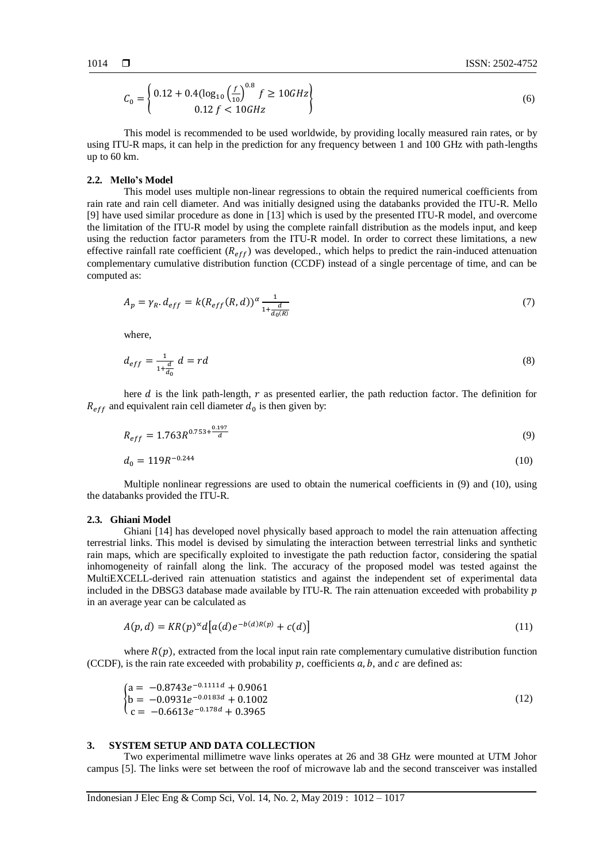$$
C_0 = \begin{cases} 0.12 + 0.4(\log_{10} \left(\frac{f}{10}\right)^{0.8} f \ge 10GHz \\ 0.12 f < 10GHz \end{cases} \tag{6}
$$

This model is recommended to be used worldwide, by providing locally measured rain rates, or by using ITU-R maps, it can help in the prediction for any frequency between 1 and 100 GHz with path-lengths up to 60 km.

#### **2.2. Mello's Model**

This model uses multiple non-linear regressions to obtain the required numerical coefficients from rain rate and rain cell diameter. And was initially designed using the databanks provided the ITU-R. Mello [9] have used similar procedure as done in [13] which is used by the presented ITU-R model, and overcome the limitation of the ITU-R model by using the complete rainfall distribution as the models input, and keep using the reduction factor parameters from the ITU-R model. In order to correct these limitations, a new effective rainfall rate coefficient  $(R_{eff})$  was developed., which helps to predict the rain-induced attenuation complementary cumulative distribution function (CCDF) instead of a single percentage of time, and can be computed as:

$$
A_p = \gamma_R \cdot d_{eff} = k(R_{eff}(R,d))^{\alpha} \frac{1}{1 + \frac{d}{d_0(R)}}
$$
\n(7)

where,

$$
d_{eff} = \frac{1}{1 + \frac{d}{d_0}} d = rd \tag{8}
$$

here  $d$  is the link path-length,  $r$  as presented earlier, the path reduction factor. The definition for  $R_{eff}$  and equivalent rain cell diameter  $d_0$  is then given by:

$$
R_{eff} = 1.763R^{0.753 + \frac{0.197}{d}} \tag{9}
$$

$$
d_0 = 119R^{-0.244} \tag{10}
$$

Multiple nonlinear regressions are used to obtain the numerical coefficients in (9) and (10), using the databanks provided the ITU-R.

## **2.3. Ghiani Model**

Ghiani [14] has developed novel physically based approach to model the rain attenuation affecting terrestrial links. This model is devised by simulating the interaction between terrestrial links and synthetic rain maps, which are specifically exploited to investigate the path reduction factor, considering the spatial inhomogeneity of rainfall along the link. The accuracy of the proposed model was tested against the MultiEXCELL-derived rain attenuation statistics and against the independent set of experimental data included in the DBSG3 database made available by ITU-R. The rain attenuation exceeded with probability  $p$ in an average year can be calculated as

$$
A(p,d) = KR(p)^{\alpha} d\big[a(d)e^{-b(d)R(p)} + c(d)\big]
$$
\n(11)

where  $R(p)$ , extracted from the local input rain rate complementary cumulative distribution function (CCDF), is the rain rate exceeded with probability  $p$ , coefficients  $a$ ,  $b$ , and  $c$  are defined as:

$$
\begin{cases}\na = -0.8743e^{-0.1111d} + 0.9061 \\
b = -0.0931e^{-0.0183d} + 0.1002 \\
c = -0.6613e^{-0.178d} + 0.3965\n\end{cases}
$$
\n(12)

## **3. SYSTEM SETUP AND DATA COLLECTION**

Two experimental millimetre wave links operates at 26 and 38 GHz were mounted at UTM Johor campus [5]. The links were set between the roof of microwave lab and the second transceiver was installed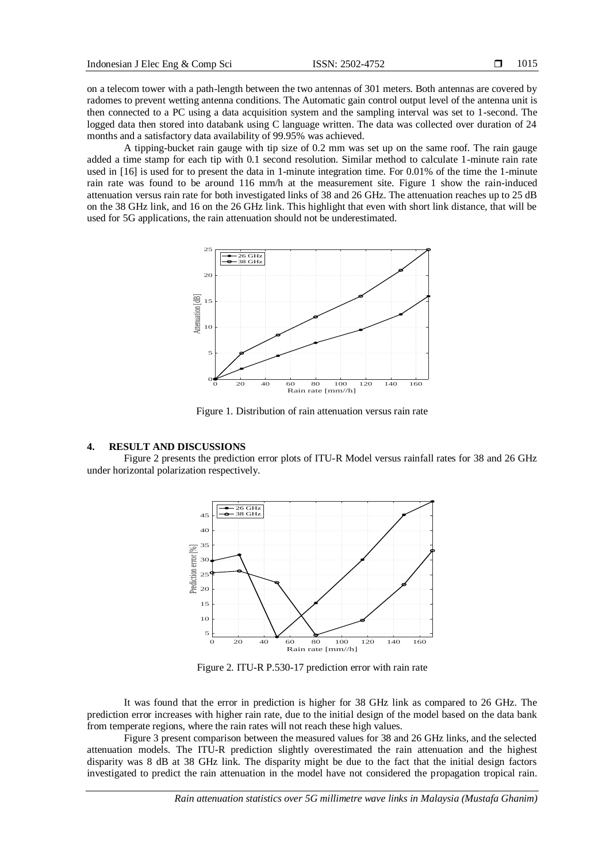on a telecom tower with a path-length between the two antennas of 301 meters. Both antennas are covered by radomes to prevent wetting antenna conditions. The Automatic gain control output level of the antenna unit is then connected to a PC using a data acquisition system and the sampling interval was set to 1-second. The logged data then stored into databank using C language written. The data was collected over duration of 24 months and a satisfactory data availability of 99.95% was achieved.

A tipping-bucket rain gauge with tip size of 0.2 mm was set up on the same roof. The rain gauge added a time stamp for each tip with 0.1 second resolution. Similar method to calculate 1-minute rain rate used in [16] is used for to present the data in 1-minute integration time. For 0.01% of the time the 1-minute rain rate was found to be around 116 mm/h at the measurement site. Figure 1 show the rain-induced attenuation versus rain rate for both investigated links of 38 and 26 GHz. The attenuation reaches up to 25 dB on the 38 GHz link, and 16 on the 26 GHz link. This highlight that even with short link distance, that will be used for 5G applications, the rain attenuation should not be underestimated.



Figure 1. Distribution of rain attenuation versus rain rate

## **4. RESULT AND DISCUSSIONS**

Figure 2 presents the prediction error plots of ITU-R Model versus rainfall rates for 38 and 26 GHz under horizontal polarization respectively.



Figure 2. ITU-R P.530-17 prediction error with rain rate

It was found that the error in prediction is higher for 38 GHz link as compared to 26 GHz. The prediction error increases with higher rain rate, due to the initial design of the model based on the data bank from temperate regions, where the rain rates will not reach these high values.

Figure 3 present comparison between the measured values for 38 and 26 GHz links, and the selected attenuation models. The ITU-R prediction slightly overestimated the rain attenuation and the highest disparity was 8 dB at 38 GHz link. The disparity might be due to the fact that the initial design factors investigated to predict the rain attenuation in the model have not considered the propagation tropical rain.

*Rain attenuation statistics over 5G millimetre wave links in Malaysia (Mustafa Ghanim)*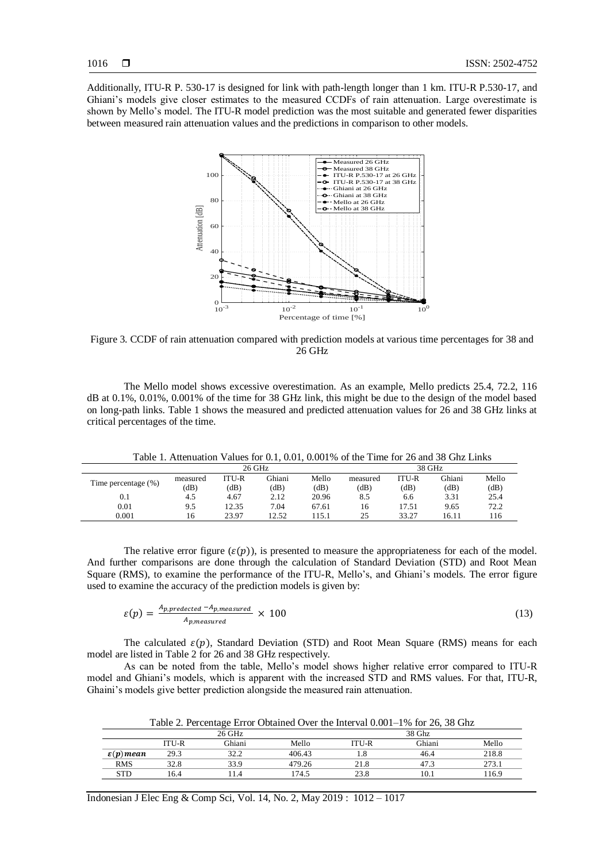Additionally, ITU-R P. 530-17 is designed for link with path-length longer than 1 km. ITU-R P.530-17, and Ghiani's models give closer estimates to the measured CCDFs of rain attenuation. Large overestimate is shown by Mello's model. The ITU-R model prediction was the most suitable and generated fewer disparities between measured rain attenuation values and the predictions in comparison to other models.



Figure 3. CCDF of rain attenuation compared with prediction models at various time percentages for 38 and 26 GHz

The Mello model shows excessive overestimation. As an example, Mello predicts 25.4, 72.2, 116 dB at 0.1%, 0.01%, 0.001% of the time for 38 GHz link, this might be due to the design of the model based on long-path links. Table 1 shows the measured and predicted attenuation values for 26 and 38 GHz links at critical percentages of the time.

Table 1. Attenuation Values for 0.1, 0.01, 0.001% of the Time for 26 and 38 Ghz Links

|                     |          |       | 26 GHz |       | 38 GHz   |       |        |       |
|---------------------|----------|-------|--------|-------|----------|-------|--------|-------|
|                     | measured | ITU-R | Ghiani | Mello | measured | ITU-R | Ghiani | Mello |
| Time percentage (%) | (dB)     | (dB)  | dB)    | (dB)  | (dB)     | (dB)  | (dB)   | (dB)  |
| 0.1                 | 4.5      | 4.67  | 2.12   | 20.96 | 8.5      | 6.6   | 3.31   | 25.4  |
| 0.01                | 9.5      | 12.35 | 7.04   | 67.61 | 16       | 17.51 | 9.65   | 72.2  |
| 0.001               | 16       | 23.97 | 12.52  | .15.1 | 25       | 33.27 | 16.11  | 116   |

The relative error figure ( $\varepsilon(p)$ ), is presented to measure the appropriateness for each of the model. And further comparisons are done through the calculation of Standard Deviation (STD) and Root Mean Square (RMS), to examine the performance of the ITU-R, Mello's, and Ghiani's models. The error figure used to examine the accuracy of the prediction models is given by:

$$
\varepsilon(p) = \frac{A_{p,predicted} - A_{p, measured}}{A_{p, measured}} \times 100
$$
\n(13)

The calculated  $\varepsilon(p)$ , Standard Deviation (STD) and Root Mean Square (RMS) means for each model are listed in Table 2 for 26 and 38 GHz respectively.

As can be noted from the table, Mello's model shows higher relative error compared to ITU-R model and Ghiani's models, which is apparent with the increased STD and RMS values. For that, ITU-R, Ghaini's models give better prediction alongside the measured rain attenuation.

Table 2. Percentage Error Obtained Over the Interval 0.001–1% for 26, 38 Ghz

|                       |              | 26 GHz        |        | 38 Ghz |        |       |  |
|-----------------------|--------------|---------------|--------|--------|--------|-------|--|
|                       | <b>ITU-R</b> | <b>Ghiani</b> | Mello  | ITU-R  | Ghiani | Mello |  |
| $\varepsilon(p)$ mean | 29.3         | 30 0<br>ے ۔ ک | 406.43 |        | 46.4   | 218.8 |  |
| <b>RMS</b>            | 32.8         | 33.9          | 479.26 | 21.8   | 47.3   | 273.1 |  |
| <b>STD</b>            | 16.4         | 1.4           | 174.5  | 23.8   | 10.1   | 116.9 |  |
|                       |              |               |        |        |        |       |  |

Indonesian J Elec Eng & Comp Sci, Vol. 14, No. 2, May 2019 : 1012 – 1017